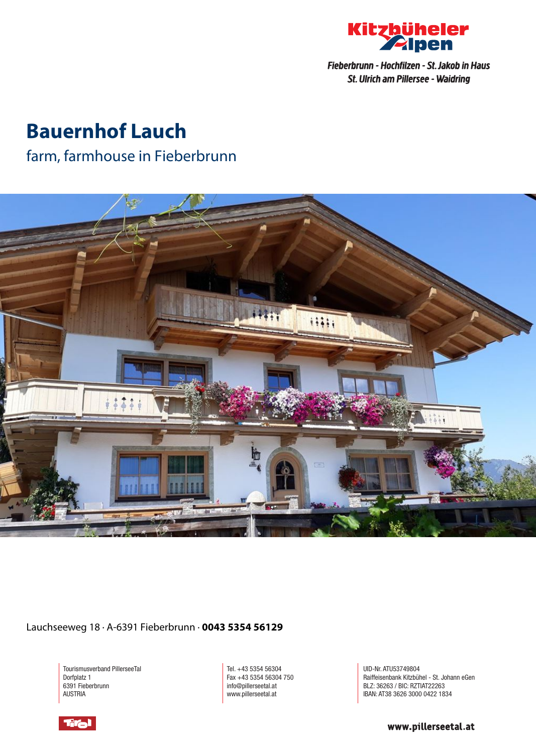

Fieberbrunn - Hochfilzen - St. Jakob in Haus St. Ulrich am Pillersee - Waidring

# **Bauernhof Lauch**

### farm, farmhouse in Fieberbrunn



Lauchseeweg 18 · A-6391 Fieberbrunn · **0043 5354 56129**

Tourismusverband PillerseeTal Dorfplatz 1 6391 Fieberbrunn AUSTRIA

Tel. +43 5354 56304 Fax +43 5354 56304 750 info@pillerseetal.at www.pillerseetal.at

UID-Nr. ATU53749804 Raiffeisenbank Kitzbühel - St. Johann eGen BLZ: 36263 / BIC: RZTIAT22263 IBAN: AT38 3626 3000 0422 1834



www.pillerseetal.at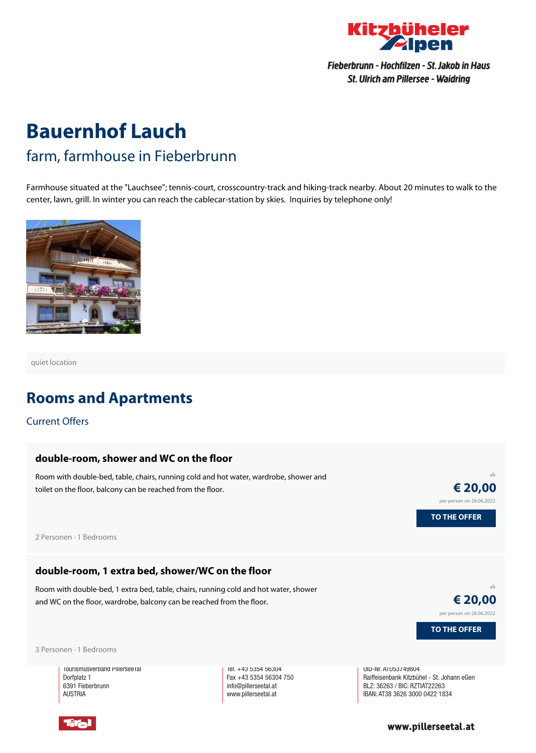

Fieberbrunn - Hochfilzen - St. Jakob in Haus St. Ulrich am Pillersee - Waidring

# **Bauernhof Lauch** farm, farmhouse in Fieberbrunn

Farmhouse situated at the "Lauchsee"; tennis-court, crosscountry-track and hiking-track nearby. About 20 minutes to walk to the center, lawn, grill. In winter you can reach the cablecar-station by skies. Inquiries by telephone only!



quiet location

### **Rooms and Apartments**

Current Offers

#### **[double-room,](https://www.kitzbueheler-alpen.com/en/pital/accommodation/booking/bauernhof-lauch.html?utm_medium=PDF&utm_campaign=Vermieter-Prospekt&utm_source=Bauernhof+Lauch) shower and WC on the floor**

Room with double-bed, table, chairs, running cold and hot water, wardrobe, shower and toilet on the floor, balcony can be reached from the floor.

ab **€ 20,00** per person on 26.06.2022 **TO THE OFFER**

2 Personen · 1 Bedrooms

#### **[double-room,](https://www.kitzbueheler-alpen.com/en/pital/accommodation/booking/bauernhof-lauch.html?utm_medium=PDF&utm_campaign=Vermieter-Prospekt&utm_source=Bauernhof+Lauch) 1 extra bed, shower/WC on the floor**

Room with double-bed, 1 extra bed, table, chairs, running cold and hot water, shower and WC on the floor, wardrobe, balcony can be reached from the floor.

ab **€ 20,00** per person on 26.06.2022

**TO THE OFFER**

3 Personen · 1 Bedrooms

Iourismusverband Pillersee Ial Dorfplatz 1 6391 Fieberbrunn **AUSTRIA** 

Tel. +43 5354 56304 Fax +43 5354 56304 750 info@pillerseetal.at www.pillerseetal.at

UID-Nr. ATU53749804 Raiffeisenbank Kitzbühel - St. Johann eGen BLZ: 36263 / BIC: RZTIAT22263 IBAN: AT38 3626 3000 0422 1834